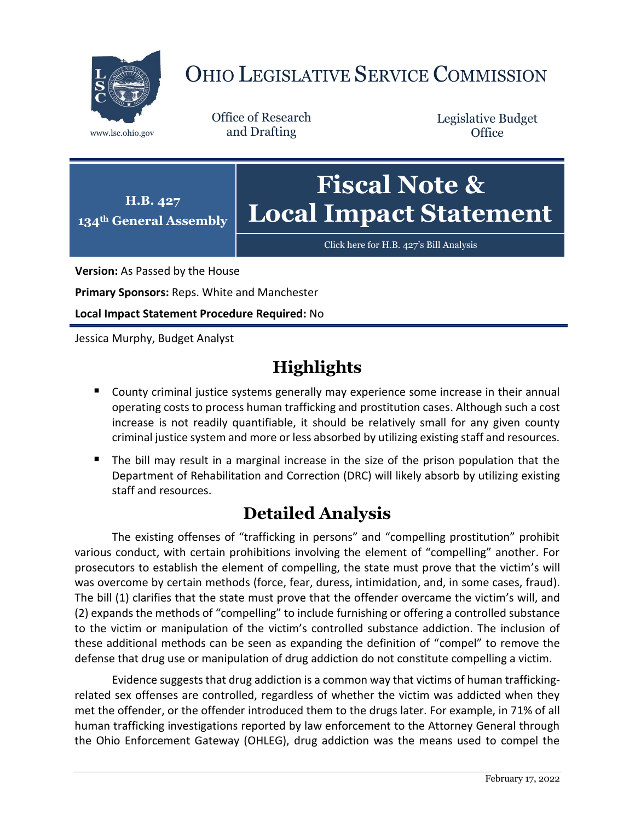

# OHIO LEGISLATIVE SERVICE COMMISSION

Office of Research www.lsc.ohio.gov and Drafting

Legislative Budget **Office** 



[Click here for H.B. 427](https://www.legislature.ohio.gov/legislation/legislation-documents?id=GA134-HB-427)'s Bill Analysis

**Version:** As Passed by the House

**Primary Sponsors:** Reps. White and Manchester

**Local Impact Statement Procedure Required:** No

Jessica Murphy, Budget Analyst

## **Highlights**

- **County criminal justice systems generally may experience some increase in their annual** operating costs to process human trafficking and prostitution cases. Although such a cost increase is not readily quantifiable, it should be relatively small for any given county criminal justice system and more or less absorbed by utilizing existing staff and resources.
- The bill may result in a marginal increase in the size of the prison population that the Department of Rehabilitation and Correction (DRC) will likely absorb by utilizing existing staff and resources.

## **Detailed Analysis**

The existing offenses of "trafficking in persons" and "compelling prostitution" prohibit various conduct, with certain prohibitions involving the element of "compelling" another. For prosecutors to establish the element of compelling, the state must prove that the victim's will was overcome by certain methods (force, fear, duress, intimidation, and, in some cases, fraud). The bill (1) clarifies that the state must prove that the offender overcame the victim's will, and (2) expands the methods of "compelling" to include furnishing or offering a controlled substance to the victim or manipulation of the victim's controlled substance addiction. The inclusion of these additional methods can be seen as expanding the definition of "compel" to remove the defense that drug use or manipulation of drug addiction do not constitute compelling a victim.

Evidence suggests that drug addiction is a common way that victims of human traffickingrelated sex offenses are controlled, regardless of whether the victim was addicted when they met the offender, or the offender introduced them to the drugs later. For example, in 71% of all human trafficking investigations reported by law enforcement to the Attorney General through the Ohio Enforcement Gateway (OHLEG), drug addiction was the means used to compel the